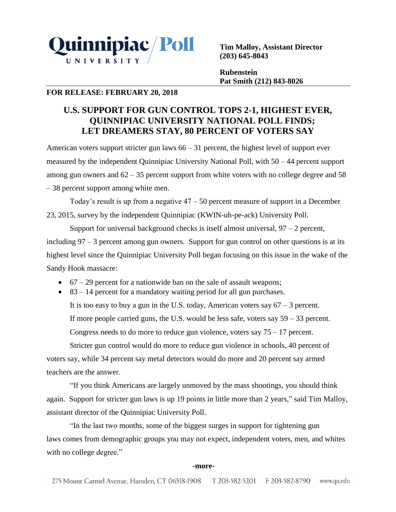

**Tim Malloy, Assistant Director (203) 645-8043**

**Rubenstein Pat Smith (212) 843-8026**

# **FOR RELEASE: FEBRUARY 20, 2018**

# **U.S. SUPPORT FOR GUN CONTROL TOPS 2-1, HIGHEST EVER, QUINNIPIAC UNIVERSITY NATIONAL POLL FINDS; LET DREAMERS STAY, 80 PERCENT OF VOTERS SAY**

American voters support stricter gun laws  $66 - 31$  percent, the highest level of support ever measured by the independent Quinnipiac University National Poll, with 50 – 44 percent support among gun owners and  $62 - 35$  percent support from white voters with no college degree and 58 – 38 percent support among white men.

Today's result is up from a negative  $47 - 50$  percent measure of support in a December 23, 2015, survey by the independent Quinnipiac (KWIN-uh-pe-ack) University Poll.

Support for universal background checks is itself almost universal,  $97 - 2$  percent, including 97 – 3 percent among gun owners. Support for gun control on other questions is at its highest level since the Quinnipiac University Poll began focusing on this issue in the wake of the Sandy Hook massacre:

- $\bullet$  67 29 percent for a nationwide ban on the sale of assault weapons;
- $\bullet$  83 14 percent for a mandatory waiting period for all gun purchases.

It is too easy to buy a gun in the U.S. today, American voters say  $67 - 3$  percent. If more people carried guns, the U.S. would be less safe, voters say 59 – 33 percent. Congress needs to do more to reduce gun violence, voters say  $75 - 17$  percent.

Stricter gun control would do more to reduce gun violence in schools, 40 percent of voters say, while 34 percent say metal detectors would do more and 20 percent say armed teachers are the answer.

"If you think Americans are largely unmoved by the mass shootings, you should think again. Support for stricter gun laws is up 19 points in little more than 2 years," said Tim Malloy, assistant director of the Quinnipiac University Poll.

"In the last two months, some of the biggest surges in support for tightening gun laws comes from demographic groups you may not expect, independent voters, men, and whites with no college degree."

### **-more-**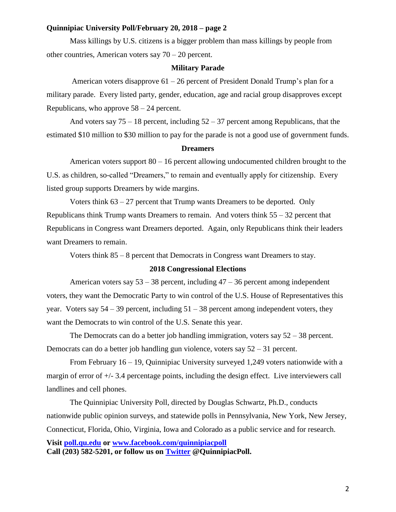## **Quinnipiac University Poll/February 20, 2018 – page 2**

Mass killings by U.S. citizens is a bigger problem than mass killings by people from other countries, American voters say 70 – 20 percent.

#### **Military Parade**

American voters disapprove 61 – 26 percent of President Donald Trump's plan for a military parade. Every listed party, gender, education, age and racial group disapproves except Republicans, who approve 58 – 24 percent.

And voters say  $75 - 18$  percent, including  $52 - 37$  percent among Republicans, that the estimated \$10 million to \$30 million to pay for the parade is not a good use of government funds.

#### **Dreamers**

American voters support 80 – 16 percent allowing undocumented children brought to the U.S. as children, so-called "Dreamers," to remain and eventually apply for citizenship. Every listed group supports Dreamers by wide margins.

Voters think  $63 - 27$  percent that Trump wants Dreamers to be deported. Only Republicans think Trump wants Dreamers to remain. And voters think  $55 - 32$  percent that Republicans in Congress want Dreamers deported. Again, only Republicans think their leaders want Dreamers to remain.

Voters think 85 – 8 percent that Democrats in Congress want Dreamers to stay.

# **2018 Congressional Elections**

American voters say  $53 - 38$  percent, including  $47 - 36$  percent among independent voters, they want the Democratic Party to win control of the U.S. House of Representatives this year. Voters say  $54 - 39$  percent, including  $51 - 38$  percent among independent voters, they want the Democrats to win control of the U.S. Senate this year.

The Democrats can do a better job handling immigration, voters say 52 – 38 percent. Democrats can do a better job handling gun violence, voters say 52 – 31 percent.

From February 16 – 19, Quinnipiac University surveyed 1,249 voters nationwide with a margin of error of  $+/- 3.4$  percentage points, including the design effect. Live interviewers call landlines and cell phones.

The Quinnipiac University Poll, directed by Douglas Schwartz, Ph.D., conducts nationwide public opinion surveys, and statewide polls in Pennsylvania, New York, New Jersey, Connecticut, Florida, Ohio, Virginia, Iowa and Colorado as a public service and for research. **Visit [poll.qu.edu](https://poll.qu.edu/) or [www.facebook.com/quinnipiacpoll](http://www.facebook.com/quinnipiacpoll)  Call (203) 582-5201, or follow us on [Twitter](http://twitter.com/QuinnipiacPoll) @QuinnipiacPoll.**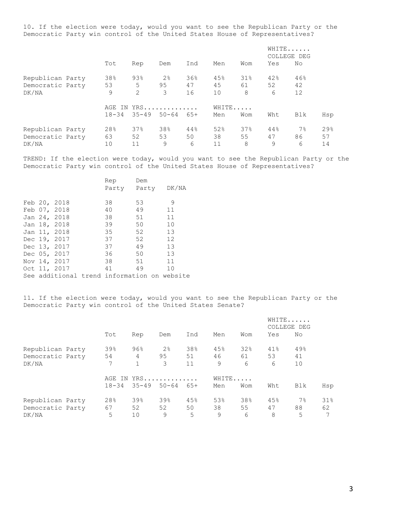10. If the election were today, would you want to see the Republican Party or the Democratic Party win control of the United States House of Representatives?

|                                               |                 |                            |                           |                 |                 |                   | WHITE<br>COLLEGE DEG |                 |                 |
|-----------------------------------------------|-----------------|----------------------------|---------------------------|-----------------|-----------------|-------------------|----------------------|-----------------|-----------------|
|                                               | Tot             | Rep                        | Dem                       | Ind             | Men             | Wom               | Yes                  | No              |                 |
| Republican Party<br>Democratic Party<br>DK/NA | 38%<br>53<br>9  | 93%<br>5<br>$\overline{2}$ | 2 <sup>°</sup><br>95<br>3 | 36%<br>47<br>16 | 45%<br>45<br>10 | $31\%$<br>61<br>8 | 42%<br>52<br>6       | 46%<br>42<br>12 |                 |
|                                               | $18 - 34$       | AGE IN YRS<br>$35 - 49$    | $50 - 64$                 | 65+             | WHITE<br>Men    | Wom               | Wht                  | Blk             | Hsp             |
| Republican Party<br>Democratic Party<br>DK/NA | 28%<br>63<br>10 | 37%<br>52<br>11            | 38%<br>53<br>9            | 44%<br>50<br>6  | 52%<br>38<br>11 | 37%<br>55<br>8    | 44%<br>47<br>9       | 7%<br>86<br>6   | 29%<br>57<br>14 |

TREND: If the election were today, would you want to see the Republican Party or the Democratic Party win control of the United States House of Representatives?

|  |              | Rep                                         | Dem |       |
|--|--------------|---------------------------------------------|-----|-------|
|  |              | Party Party                                 |     | DK/NA |
|  |              |                                             |     |       |
|  | Feb 20, 2018 | 38                                          | 53  | 9     |
|  | Feb 07, 2018 | 40                                          | 49  | 11    |
|  | Jan 24, 2018 | 38                                          | 51  | 11    |
|  | Jan 18, 2018 | 39                                          | 50  | 10    |
|  | Jan 11, 2018 | 35                                          | 52  | 13    |
|  | Dec 19, 2017 | 37                                          | 52  | 12    |
|  | Dec 13, 2017 | 37                                          | 49  | 13    |
|  | Dec 05, 2017 | 36                                          | 50  | 13    |
|  | Nov 14, 2017 | 38                                          | 51  | 11    |
|  | Oct 11, 2017 | 41                                          | 49  | 10    |
|  |              | See additional trend information on website |     |       |

11. If the election were today, would you want to see the Republican Party or the Democratic Party win control of the United States Senate?

|                  |           |           |                |       |       |     |     | WHITE<br>COLLEGE DEG |     |
|------------------|-----------|-----------|----------------|-------|-------|-----|-----|----------------------|-----|
|                  | Tot       | Rep       | Dem            | Ind   | Men   | Wom | Yes | No                   |     |
| Republican Party | 39%       | 96%       | 2 <sup>°</sup> | 38%   | 45%   | 32% | 41% | 49%                  |     |
| Democratic Party | 54        | 4         | 95             | 51    | 46    | 61  | 53  | 41                   |     |
| DK/NA            | 7         |           | 3              | 11    | 9     | 6   | 6   | 10                   |     |
|                  |           |           | AGE IN YRS     |       | WHITE |     |     |                      |     |
|                  | $18 - 34$ | $35 - 49$ | $50 - 64$      | $65+$ | Men   | Wom | Wht | Blk                  | Hsp |
| Republican Party | 28%       | 39%       | 39%            | 45%   | 53%   | 38% | 45% | $7\%$                | 31% |
| Democratic Party | 67        | 52        | 52             | 50    | 38    | 55  | 47  | 88                   | 62  |
| DK/NA            | 5         | 10        | 9              | 5     | 9     | 6   | 8   | 5                    | 7   |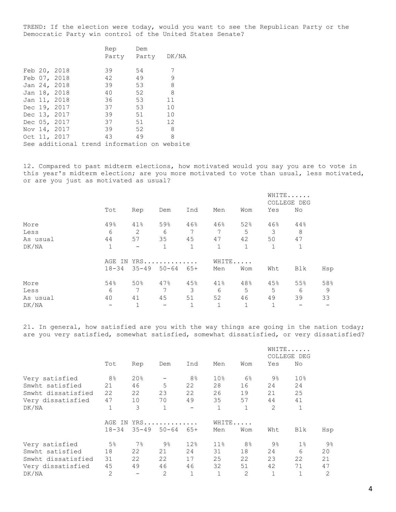TREND: If the election were today, would you want to see the Republican Party or the Democratic Party win control of the United States Senate?

|  |                                             | Rep         | Dem |       |  |
|--|---------------------------------------------|-------------|-----|-------|--|
|  |                                             | Party Party |     | DK/NA |  |
|  |                                             |             |     |       |  |
|  | Feb 20, 2018                                | 39          | 54  | 7     |  |
|  | Feb 07, 2018                                | 42          | 49  | 9     |  |
|  | Jan 24, 2018                                | 39          | 53  | 8     |  |
|  | Jan 18, 2018                                | 40          | 52  | 8     |  |
|  | Jan 11, 2018                                | 36          | 53  | 11    |  |
|  | Dec 19, 2017                                | 37          | 53  | 10    |  |
|  | Dec 13, 2017                                | 39          | 51  | 10    |  |
|  | Dec 05, 2017                                | 37          | 51  | 12    |  |
|  | Nov 14, 2017                                | 39          | 52  | 8     |  |
|  | Oct 11, 2017                                | 43          | 49  | 8     |  |
|  | See additional trend information on website |             |     |       |  |

12. Compared to past midterm elections, how motivated would you say you are to vote in this year's midterm election; are you more motivated to vote than usual, less motivated, or are you just as motivated as usual?

|          |           |                          |                   |              |       |              |              | WHITE<br>COLLEGE DEG |     |
|----------|-----------|--------------------------|-------------------|--------------|-------|--------------|--------------|----------------------|-----|
|          | Tot       | Rep                      | Dem               | Ind          | Men   | Wom          | Yes          | No                   |     |
| More     | 49%       | 41%                      | 59%               | 46%          | 46%   | 52%          | 46%          | 44%                  |     |
| Less     | 6         | 2                        | 6                 | 7            | 7     | 5            | 3            | 8                    |     |
| As usual | 44        | 57                       | 35                | 45           | 47    | 42           | 50           | 47                   |     |
| DK/NA    | 1         | $\overline{\phantom{0}}$ |                   | 1            |       | 1            |              |                      |     |
|          | AGE IN    |                          | $YRS$             |              | WHITE |              |              |                      |     |
|          | $18 - 34$ | $35 - 49$                | $50 - 64$         | 65+          | Men   | Wom          | Wht          | Blk                  | Hsp |
| More     | 54%       | 50%                      | 47%               | 45%          | 41%   | 48%          | 45%          | 55%                  | 58% |
| Less     | 6         | 7                        | 7                 | 3            | 6     | 5            | 5            | 6                    | 9   |
| As usual | 40        | 41                       | 45                | 51           | 52    | 46           | 49           | 39                   | 33  |
| DK/NA    |           | ┑                        | $\qquad \qquad -$ | $\mathbf{1}$ |       | $\mathbf{1}$ | $\mathbf{1}$ |                      |     |

21. In general, how satisfied are you with the way things are going in the nation today; are you very satisfied, somewhat satisfied, somewhat dissatisfied, or very dissatisfied?

|                    |                |           |                |                |                 |                |                | WHITE<br>COLLEGE DEG |                |
|--------------------|----------------|-----------|----------------|----------------|-----------------|----------------|----------------|----------------------|----------------|
|                    | Tot            | Rep       | Dem            | Ind            | Men             | Wom            | Yes            | No                   |                |
| Very satisfied     | 8 <sup>°</sup> | 20%       |                | 8 <sup>°</sup> | 10 <sub>8</sub> | $6\%$          | $9\frac{6}{6}$ | 10 <sub>8</sub>      |                |
| Smwht satisfied    | 21             | 46        | 5              | 22             | 28              | 16             | 24             | 24                   |                |
| Smwht dissatisfied | 22             | 22        | 23             | 22             | 26              | 19             | 21             | 25                   |                |
| Very dissatisfied  | 47             | 10        | 70             | 49             | 35              | 57             | 44             | 41                   |                |
| DK/NA              | $\mathbf 1$    | 3         | 1              |                | 1               | $\mathbf 1$    | $\overline{2}$ | 1                    |                |
|                    | AGE<br>IN.     |           | YRS            |                | WHITE           |                |                |                      |                |
|                    | $18 - 34$      | $35 - 49$ | $50 - 64$      | 65+            | Men             | Wom            | Wht            | Blk                  | Hsp            |
| Very satisfied     | 5 <sup>°</sup> | $7\%$     | $9\frac{6}{6}$ | 12%            | 11 <sup>°</sup> | 8 <sup>°</sup> | $9\frac{6}{6}$ | $1\%$                | 9 <sub>8</sub> |
| Smwht satisfied    | 18             | 22        | 21             | 24             | 31              | 18             | 24             | 6                    | 20             |
| Smwht dissatisfied | 31             | 22        | 22             | 17             | 25              | 22             | 23             | 22                   | 21             |
| Very dissatisfied  | 45             | 49        | 46             | 46             | 32              | 51             | 42             | 71                   | 47             |
| DK/NA              | $\overline{2}$ |           | 2              | 1              | 1               | 2              | $\mathbf{1}$   | 1                    | $\overline{2}$ |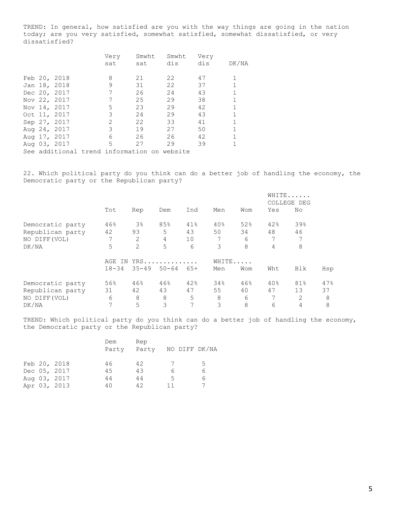TREND: In general, how satisfied are you with the way things are going in the nation today; are you very satisfied, somewhat satisfied, somewhat dissatisfied, or very dissatisfied?

|  |              | Very<br>sat   | Smwht<br>sat | Smwht<br>dis                                | Very<br>dis | DK/NA |
|--|--------------|---------------|--------------|---------------------------------------------|-------------|-------|
|  | Feb 20, 2018 | 8             | 21           | 22                                          | 47          |       |
|  | Jan 18, 2018 | 9             | 31           | 22                                          | 37          |       |
|  | Dec 20, 2017 |               | 26           | 24                                          | 43          |       |
|  | Nov 22, 2017 | 7             | 25           | 29                                          | 38          |       |
|  | Nov 14, 2017 | 5             | 23           | 29                                          | 42          |       |
|  | Oct 11, 2017 | 3             | 24           | 29                                          | 43          |       |
|  | Sep 27, 2017 | $\mathcal{L}$ | 22           | 33                                          | 41          |       |
|  | Aug 24, 2017 | 3             | 19           | 27                                          | 50          |       |
|  | Aug 17, 2017 | 6             | 26           | 26                                          | 42          |       |
|  | Aug 03, 2017 | 5             | 27           | 29                                          | 39          |       |
|  |              |               |              | See additional trend information on website |             |       |

22. Which political party do you think can do a better job of handling the economy, the Democratic party or the Republican party?

|                  |                |                |           |     |       |     |     | WHITE<br>COLLEGE DEG |     |
|------------------|----------------|----------------|-----------|-----|-------|-----|-----|----------------------|-----|
|                  | Tot            | Rep            | Dem       | Ind | Men   | Wom | Yes | No                   |     |
| Democratic party | 46%            | 3 <sup>°</sup> | 85%       | 41% | 40%   | 52% | 42% | 39%                  |     |
| Republican party | 42             | 93             | 5         | 43  | 50    | 34  | 48  | 46                   |     |
| NO DIFF (VOL)    | 7              | 2              | 4         | 10  | 7     | 6   | 7   | 7                    |     |
| DK/NA            | 5              | 2              | 5         | 6   | 3     | 8   | 4   | 8                    |     |
|                  | AGE<br>TN      |                | YRS       |     | WHITE |     |     |                      |     |
|                  | $18 - 34$      | $35 - 49$      | $50 - 64$ | 65+ | Men   | Wom | Wht | Blk                  | Hsp |
| Democratic party | 56%            | 46%            | 46%       | 42% | 34%   | 46% | 40% | 81%                  | 47% |
| Republican party | 31             | 42             | 43        | 47  | 55    | 40  | 47  | 13                   | 37  |
| NO DIFF (VOL)    | 6              | 8              | 8         | 5   | 8     | 6   | 7   | 2                    | 8   |
| DK/NA            | $\overline{7}$ | 5              | 3         | 7   | 3     | 8   | 6   | 4                    | 8   |

TREND: Which political party do you think can do a better job of handling the economy, the Democratic party or the Republican party?

|  |              | Dem<br>Party | Rep<br>Party | NO DIFF DK/NA |    |
|--|--------------|--------------|--------------|---------------|----|
|  | Feb 20, 2018 | 46           | 42           | 7             | 5. |
|  | Dec 05, 2017 | 45           | 43           | 6             | 6  |
|  | Aug 03, 2017 | 44           | 44           | 5             | 6  |
|  | Apr 03, 2013 | 40           | 42           | 11            |    |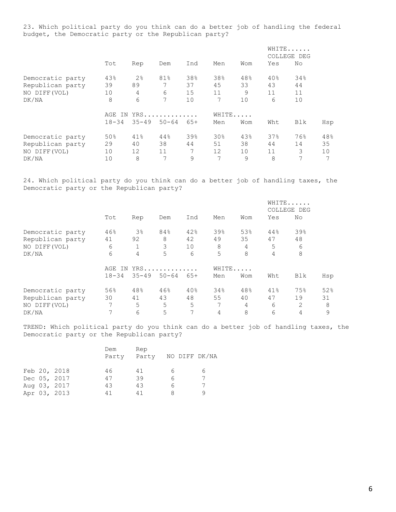23. Which political party do you think can do a better job of handling the federal budget, the Democratic party or the Republican party?

|                  |           |                |           |       |       |     |     | WHITE<br>COLLEGE DEG |     |
|------------------|-----------|----------------|-----------|-------|-------|-----|-----|----------------------|-----|
|                  | Tot       | Rep            | Dem       | Ind   | Men   | Wom | Yes | No                   |     |
| Democratic party | 43%       | 2 <sup>°</sup> | 81%       | 38%   | 38%   | 48% | 40% | 34%                  |     |
| Republican party | 39        | 89             | 7         | 37    | 45    | 33  | 43  | 44                   |     |
| NO DIFF (VOL)    | 10        | 4              | 6         | 15    | 11    | 9   | 11  | 11                   |     |
| DK/NA            | 8         | 6              | 7         | 10    | 7     | 10  | 6   | 10                   |     |
|                  | AGE<br>ΙN |                | $YRS$     |       | WHITE |     |     |                      |     |
|                  | $18 - 34$ | $35 - 49$      | $50 - 64$ | $65+$ | Men   | Wom | Wht | Blk                  | Hsp |
| Democratic party | 50%       | 41%            | 44%       | 39%   | 30%   | 43% | 37% | 76%                  | 48% |
| Republican party | 29        | 40             | 38        | 44    | 51    | 38  | 44  | 14                   | 35  |
| NO DIFF (VOL)    | 10        | 12             | 11        | 7     | 12    | 10  | 11  | 3                    | 10  |
| DK/NA            | 10        | 8              | 7         | 9     | 7     | 9   | 8   | 7                    | 7   |

24. Which political party do you think can do a better job of handling taxes, the Democratic party or the Republican party?

|                  |           |           |           |       |       |     |     | WHITE<br>COLLEGE DEG |     |
|------------------|-----------|-----------|-----------|-------|-------|-----|-----|----------------------|-----|
|                  | Tot       | Rep       | Dem       | Ind   | Men   | Wom | Yes | No                   |     |
| Democratic party | 46%       | $3\%$     | 84%       | 42%   | 39%   | 53% | 44% | 39%                  |     |
| Republican party | 41        | 92        | 8         | 42    | 49    | 35  | 47  | 48                   |     |
| NO DIFF (VOL)    | 6         |           | 3         | 10    | 8     | 4   | 5   | 6                    |     |
| DK/NA            | 6         | 4         | 5         | 6     | 5     | 8   | 4   | 8                    |     |
|                  | IN<br>AGE |           | YRS       |       | WHITE |     |     |                      |     |
|                  | $18 - 34$ | $35 - 49$ | $50 - 64$ | $65+$ | Men   | Wom | Wht | Blk                  | Hsp |
| Democratic party | 56%       | 48%       | 46%       | 40%   | 34%   | 48% | 41% | 75%                  | 52% |
| Republican party | 30        | 41        | 43        | 48    | 55    | 40  | 47  | 19                   | 31  |
| NO DIFF (VOL)    | 7         | 5         | 5         | 5     | 7     | 4   | 6   | 2                    | 8   |
| DK/NA            | 7         | 6         | 5         | 7     | 4     | 8   | 6   | 4                    | 9   |

TREND: Which political party do you think can do a better job of handling taxes, the Democratic party or the Republican party?

|  | Dem<br>Party                                                 | Rep |       | NO DIFF DK/NA |
|--|--------------------------------------------------------------|-----|-------|---------------|
|  | 46                                                           | 41  |       | 6             |
|  | 47                                                           | 39  | Б     | 7             |
|  | 43                                                           | 43  | 6     | 7             |
|  | 41                                                           | 41  | 8     |               |
|  | Feb 20, 2018<br>Dec 05, 2017<br>Aug 03, 2017<br>Apr 03, 2013 |     | Party |               |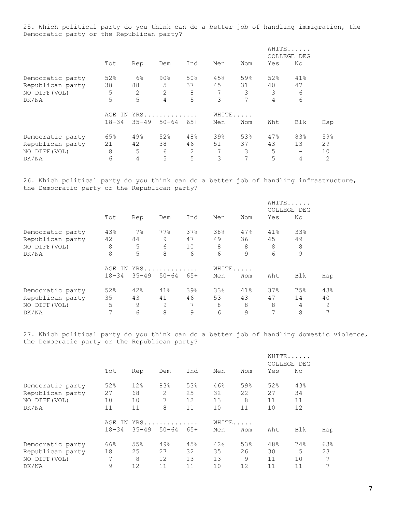25. Which political party do you think can do a better job of handling immigration, the Democratic party or the Republican party?

|                  |            |           |           |       |       |     |     | WHITE<br>COLLEGE DEG |     |
|------------------|------------|-----------|-----------|-------|-------|-----|-----|----------------------|-----|
|                  | Tot        | Rep       | Dem       | Ind   | Men   | Wom | Yes | No                   |     |
| Democratic party | 52%        | $6\%$     | 90%       | 50%   | 45%   | 59% | 52% | 41%                  |     |
| Republican party | 38         | 88        | 5         | 37    | 45    | 31  | 40  | 47                   |     |
| NO DIFF (VOL)    | 5          | 2         | 2         | 8     | 7     | 3   | 3   | 6                    |     |
| DK/NA            | 5          | 5         | 4         | 5     | 3     | 7   | 4   | 6                    |     |
|                  | AGE<br>IN. |           | $YRS$     |       | WHITE |     |     |                      |     |
|                  | $18 - 34$  | $35 - 49$ | $50 - 64$ | $65+$ | Men   | Wom | Wht | Blk                  | Hsp |
| Democratic party | 65%        | 49%       | 52%       | 48%   | 39%   | 53% | 47% | 83%                  | 59% |
| Republican party | 21         | 42        | 38        | 46    | 51    | 37  | 43  | 13                   | 29  |
| NO DIFF (VOL)    | 8          | 5         | 6         | 2     | 7     | 3   | 5   |                      | 10  |
| DK/NA            | 6          | 4         | 5         | 5     | 3     |     | 5   | 4                    | 2   |

26. Which political party do you think can do a better job of handling infrastructure, the Democratic party or the Republican party?

|                  |           |           |           |     |       |     |     | WHITE<br>COLLEGE DEG |     |
|------------------|-----------|-----------|-----------|-----|-------|-----|-----|----------------------|-----|
|                  | Tot       | Rep       | Dem       | Ind | Men   | Wom | Yes | No                   |     |
| Democratic party | 43%       | $7\%$     | 77%       | 37% | 38%   | 47% | 41% | 33%                  |     |
| Republican party | 42        | 84        | 9         | 47  | 49    | 36  | 45  | 49                   |     |
| NO DIFF (VOL)    | 8         | 5         | 6         | 10  | 8     | 8   | 8   | 8                    |     |
| DK/NA            | 8         | 5         | 8         | 6   | 6     | 9   | 6   | 9                    |     |
|                  | AGE       |           | IN YRS    |     | WHITE |     |     |                      |     |
|                  | $18 - 34$ | $35 - 49$ | $50 - 64$ | 65+ | Men   | Wom | Wht | Blk                  | Hsp |
| Democratic party | 52%       | 42%       | 41%       | 39% | 33%   | 41% | 37% | 75%                  | 43% |
| Republican party | 35        | 43        | 41        | 46  | 53    | 43  | 47  | 14                   | 40  |
| NO DIFF (VOL)    | 5         | 9         | 9         | 7   | 8     | 8   | 8   | 4                    | 9   |
| DK/NA            | 7         | 6         | 8         | 9   | 6     | 9   | 7   | 8                    | 7   |

27. Which political party do you think can do a better job of handling domestic violence, the Democratic party or the Republican party?

|                  |           |            |           |       |       |     |     | WHITE<br>COLLEGE DEG |     |
|------------------|-----------|------------|-----------|-------|-------|-----|-----|----------------------|-----|
|                  | Tot       | Rep        | Dem       | Ind   | Men   | Wom | Yes | No                   |     |
| Democratic party | 52%       | 12%        | 83%       | 53%   | 46%   | 59% | 52% | 43%                  |     |
| Republican party | 27        | 68         | 2         | 25    | 32    | 22  | 27  | 34                   |     |
| NO DIFF (VOL)    | 10        | 10         | 7         | 12    | 13    | 8   | 11  | 11                   |     |
| DK/NA            | 11        | 11         | 8         | 11    | 10    | 11  | 10  | 12                   |     |
|                  | AGE       | YRS<br>IN. |           |       | WHITE |     |     |                      |     |
|                  | $18 - 34$ | $35 - 49$  | $50 - 64$ | $65+$ | Men   | Wom | Wht | Blk                  | Hsp |
| Democratic party | 66%       | 55%        | 49%       | 45%   | 42%   | 53% | 48% | 74%                  | 63% |
| Republican party | 18        | 25         | 27        | 32    | 35    | 26  | 30  | 5                    | 23  |
| NO DIFF (VOL)    | 7         | 8          | 12        | 13    | 13    | 9   | 11  | 10                   | 7   |
| DK/NA            | 9         | 12         | 11        | 11    | 10    | 12  | 11  | 11                   | 7   |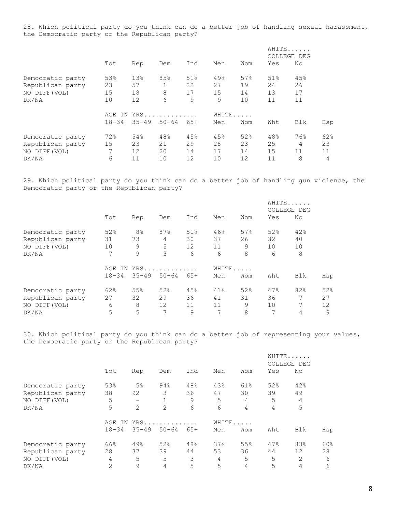28. Which political party do you think can do a better job of handling sexual harassment, the Democratic party or the Republican party?

|                  |           |           |           |     |       |     |     | WHITE<br>COLLEGE DEG |     |
|------------------|-----------|-----------|-----------|-----|-------|-----|-----|----------------------|-----|
|                  | Tot       | Rep       | Dem       | Ind | Men   | Wom | Yes | No                   |     |
| Democratic party | 53%       | 13%       | 85%       | 51% | 49%   | 57% | 51% | 45%                  |     |
| Republican party | 23        | 57        |           | 22  | 27    | 19  | 24  | 26                   |     |
| NO DIFF (VOL)    | 15        | 18        | 8         | 17  | 15    | 14  | 13  | 17                   |     |
| DK/NA            | 10        | 12        | 6         | 9   | 9     | 10  | 11  | 11                   |     |
|                  | AGE<br>IN |           | YRS       |     | WHITE |     |     |                      |     |
|                  | $18 - 34$ | $35 - 49$ | $50 - 64$ | 65+ | Men   | Wom | Wht | Blk                  | Hsp |
| Democratic party | 72%       | 54%       | 48%       | 45% | 45%   | 52% | 48% | 76%                  | 62% |
| Republican party | 15        | 23        | 21        | 29  | 28    | 23  | 25  | 4                    | 23  |
| NO DIFF (VOL)    | 7         | 12        | 20        | 14  | 17    | 14  | 15  | 11                   | 11  |
| DK/NA            | 6         | 11        | 10        | 12  | 10    | 12  | 11  | 8                    | 4   |

29. Which political party do you think can do a better job of handling gun violence, the Democratic party or the Republican party?

|                  |           |                |           |                   |       |     |     | WHITE<br>COLLEGE DEG |     |
|------------------|-----------|----------------|-----------|-------------------|-------|-----|-----|----------------------|-----|
|                  | Tot       | Rep            | Dem       | Ind               | Men   | Wom | Yes | No                   |     |
| Democratic party | 52%       | 8 <sup>°</sup> | 87%       | 51%               | 46%   | 57% | 52% | 42%                  |     |
| Republican party | 31        | 73             | 4         | 30                | 37    | 26  | 32  | 40                   |     |
| NO DIFF (VOL)    | 10        | 9              | 5         | $12 \overline{ }$ | 11    | 9   | 10  | 10                   |     |
| DK/NA            | 7         | 9              | 3         | 6                 | 6     | 8   | 6   | 8                    |     |
|                  | IN<br>AGE |                | YRS       |                   | WHITE |     |     |                      |     |
|                  | $18 - 34$ | $35 - 49$      | $50 - 64$ | 65+               | Men   | Wom | Wht | Blk                  | Hsp |
| Democratic party | 62%       | 55%            | 52%       | 45%               | 41%   | 52% | 47% | 82%                  | 52% |
| Republican party | 27        | 32             | 29        | 36                | 41    | 31  | 36  |                      | 27  |
| NO DIFF (VOL)    | 6         | 8              | 12        | 11                | 11    | 9   | 10  | 7                    | 12  |
| DK/NA            | 5         | 5              | 7         | 9                 | 7     | 8   | 7   | 4                    | 9   |

30. Which political party do you think can do a better job of representing your values, the Democratic party or the Republican party?

|                  |                   |                   |              |       |     |                |     | WHITE<br>COLLEGE DEG |     |
|------------------|-------------------|-------------------|--------------|-------|-----|----------------|-----|----------------------|-----|
|                  | Tot               | Rep               | Dem          | Ind   | Men | Wom            | Yes | No                   |     |
| Democratic party | 53%               | 5 <sup>°</sup>    | 94%          | 48%   | 43% | 61%            | 52% | 42%                  |     |
| Republican party | 38                | 92                | 3            | 36    | 47  | 30             | 39  | 49                   |     |
| NO DIFF (VOL)    | 5                 | $\qquad \qquad -$ | $\mathbf{1}$ | 9     | 5   | 4              | 5   | 4                    |     |
| DK/NA            | 5                 | $\mathfrak{D}$    | 2            | 6     | 6   | 4              | 4   | 5                    |     |
|                  | YRS<br>AGE<br>IN. |                   |              | WHITE |     |                |     |                      |     |
|                  | $18 - 34$         | $35 - 49$         | $50 - 64$    | $65+$ | Men | Wom            | Wht | Blk                  | Hsp |
| Democratic party | 66%               | 49.8              | 52%          | 48%   | 37% | 55%            | 47% | 83%                  | 60% |
| Republican party | 28                | 37                | 39           | 44    | 53  | 36             | 44  | 12                   | 28  |
| NO DIFF (VOL)    | 4                 | 5                 | 5            | 3     | 4   | 5              | 5   | 2                    | 6   |
| DK/NA            | $\overline{2}$    | 9                 | 4            | 5     | 5   | $\overline{4}$ | 5   | 4                    | 6   |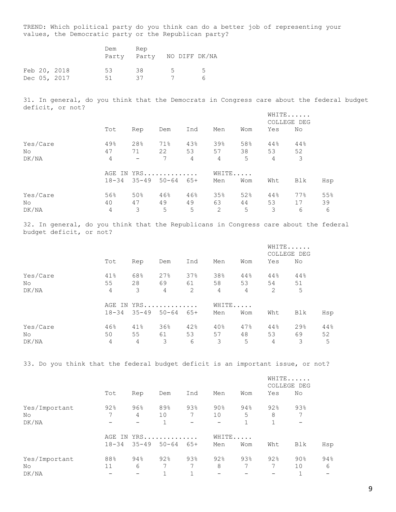TREND: Which political party do you think can do a better job of representing your values, the Democratic party or the Republican party?

|  |                              | Dem<br>Party | Rep<br>Party NO DIFF DK/NA |              |                    |
|--|------------------------------|--------------|----------------------------|--------------|--------------------|
|  | Feb 20, 2018<br>Dec 05, 2017 | 53.<br>51    | 38<br>37                   | $5 -$<br>- 7 | $\mathcal{L}$<br>ี |

31. In general, do you think that the Democrats in Congress care about the federal budget deficit, or not?

|          |           |                          |                 |     |     |       |     | WHITE<br>COLLEGE DEG |     |
|----------|-----------|--------------------------|-----------------|-----|-----|-------|-----|----------------------|-----|
|          | Tot       | Rep                      | Dem             | Ind | Men | Wom   | Yes | No                   |     |
| Yes/Care | 49%       | 28%                      | 71%             | 43% | 39% | 58%   | 44% | 44%                  |     |
| No.      | 47        | 71                       | 22              | 53  | 57  | 38    | 53  | 52                   |     |
| DK/NA    | 4         | $\overline{\phantom{0}}$ | $7\overline{ }$ | 4   | 4   | 5     | 4   | 3                    |     |
|          |           | AGE IN YRS               |                 |     |     | WHITE |     |                      |     |
|          | $18 - 34$ |                          | $35 - 49$ 50-64 | 65+ | Men | Wom   | Wht | Blk                  | Hsp |
| Yes/Care | 56%       | 50%                      | 46%             | 46% | 35% | 52%   | 44% | 77%                  | 55% |
| No.      | 40        | 47                       | 49              | 49  | 63  | 44    | 53  | 17                   | 39  |
| DK/NA    | 4         | 3                        | 5               | 5   | 2   | 5     | 3   | 6                    | 6   |

32. In general, do you think that the Republicans in Congress care about the federal budget deficit, or not?

|          |                |     |                 |     |       |     |     | WHITE<br>COLLEGE DEG |     |
|----------|----------------|-----|-----------------|-----|-------|-----|-----|----------------------|-----|
|          | Tot            | Rep | Dem             | Ind | Men   | Wom | Yes | No                   |     |
| Yes/Care | 41%            | 68% | 27%             | 37% | 38%   | 44% | 44% | 44%                  |     |
| No       | 55             | 28  | 69              | 61  | 58    | 53  | 54  | 51                   |     |
| DK/NA    | $\overline{4}$ | 3   | 4               | 2   | 4     | 4   | 2   | 5                    |     |
|          |                |     | AGE IN YRS      |     | WHITE |     |     |                      |     |
|          | $18 - 34$      |     | $35 - 49$ 50-64 | 65+ | Men   | Wom | Wht | Blk                  | Hsp |
| Yes/Care | 46%            | 41% | 36%             | 42% | 40%   | 47% | 44% | 29 <sub>8</sub>      | 44% |
| No.      | 50             | 55  | 61              | 53  | 57    | 48  | 53  | 69                   | 52  |
| DK/NA    | 4              | 4   | 3               | 6   | 3     | 5   | 4   | 3                    | 5   |

33. Do you think that the federal budget deficit is an important issue, or not?

|               |     |                               |              |                          |        |       |     | WHITE<br>COLLEGE DEG     |     |
|---------------|-----|-------------------------------|--------------|--------------------------|--------|-------|-----|--------------------------|-----|
|               | Tot | Rep                           | Dem          | Ind                      | Men    | Wom   | Yes | No                       |     |
| Yes/Important | 92% | 96%                           | 89%          | 93%                      | $90\%$ | 94%   | 92% | 93%                      |     |
| No            | 7   | 4                             | 10           | 7                        | 10     | 5     | 8   | 7                        |     |
| DK/NA         |     | $\overline{\phantom{0}}$      | $\mathbf{1}$ | $\overline{\phantom{m}}$ |        | 1     |     | $\overline{\phantom{m}}$ |     |
|               |     | AGE IN YRS                    |              |                          |        | WHITE |     |                          |     |
|               |     | $18 - 34$ $35 - 49$ $50 - 64$ |              | 65+                      | Men    | Wom   | Wht | Blk                      | Hsp |
| Yes/Important | 88% | 94%                           | 92%          | 93%                      | 92%    | 93%   | 92% | $90\%$                   | 94% |
| No            | 11  | 6                             | 7            | 7                        | 8      | 7     | 7   | 10                       | 6   |
| DK/NA         |     |                               |              |                          |        |       |     |                          |     |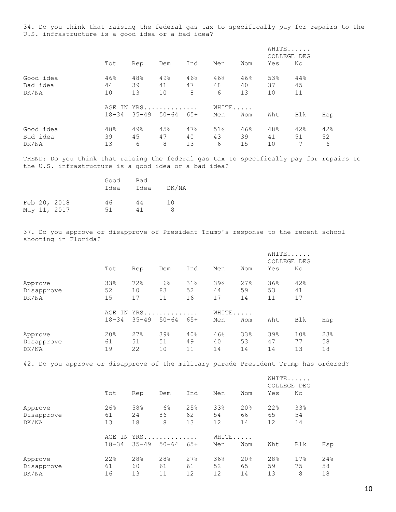34. Do you think that raising the federal gas tax to specifically pay for repairs to the U.S. infrastructure is a good idea or a bad idea?

|           |           |                     |                     |     |     |     |     | WHITE<br>COLLEGE DEG |     |
|-----------|-----------|---------------------|---------------------|-----|-----|-----|-----|----------------------|-----|
|           | Tot       | Rep                 | Dem                 | Ind | Men | Wom | Yes | No.                  |     |
| Good idea | 46%       | 48%                 | 49%                 | 46% | 46% | 46% | 53% | 44%                  |     |
| Bad idea  | 44        | 39                  | 41                  | 47  | 48  | 40  | 37  | 45                   |     |
| DK/NA     | 10        | 13                  | 10                  | 8   | 6   | 13  | 10  | 11                   |     |
|           |           | AGE IN YRS<br>WHITE |                     |     |     |     |     |                      |     |
|           | $18 - 34$ |                     | $35 - 49$ 50-64 65+ |     | Men | Wom | Wht | Blk                  | Hsp |
| Good idea | 48%       | 49%                 | 45%                 | 47% | 51% | 46% | 48% | 42%                  | 42% |
| Bad idea  | 39        | 45                  | 47                  | 40  | 43  | 39  | 41  | 51                   | 52  |
| DK/NA     | 13        | 6                   | 8                   | 13  | 6   | 15  | 10  | 7                    | 6   |

TREND: Do you think that raising the federal gas tax to specifically pay for repairs to the U.S. infrastructure is a good idea or a bad idea?

|  |                              | Good<br>Idea | Bad<br>Idea | DK/NA    |
|--|------------------------------|--------------|-------------|----------|
|  | Feb 20, 2018<br>May 11, 2017 | 46<br>51     | 44<br>41    | 1 O<br>я |

37. Do you approve or disapprove of President Trump's response to the recent school shooting in Florida?

|            |           |            |                |     |     |     | WHITE<br>COLLEGE DEG |                 |     |
|------------|-----------|------------|----------------|-----|-----|-----|----------------------|-----------------|-----|
|            | Tot       | Rep        | Dem            | Ind | Men | Wom | Yes                  | No              |     |
| Approve    | 33%       | 72%        | 6 <sup>°</sup> | 31% | 39% | 27% | 36%                  | 42%             |     |
| Disapprove | 52        | 10         | 83             | 52  | 44  | 59  | 53                   | 41              |     |
| DK/NA      | 15        | 17         | 11             | 16  | 17  | 14  | 11                   | 17              |     |
|            |           | AGE IN YRS |                |     |     |     |                      |                 |     |
|            | $18 - 34$ | $35 - 49$  | $50 - 64$      | 65+ | Men | Wom | Wht                  | Blk             | Hsp |
| Approve    | 20%       | 27%        | 39%            | 40% | 46% | 33% | 39%                  | 10 <sub>8</sub> | 23% |
| Disapprove | 61        | 51         | 51             | 49  | 40  | 53  | 47                   | 77              | 58  |
| DK/NA      | 19        | 22         | 10             | 11  | 14  | 14  | 14                   | 13              | 18  |

42. Do you approve or disapprove of the military parade President Trump has ordered?

|                                |                     |                 |                           |                 |                 |                 |                 | WHITE<br>COLLEGE DEG |                 |
|--------------------------------|---------------------|-----------------|---------------------------|-----------------|-----------------|-----------------|-----------------|----------------------|-----------------|
|                                | Tot                 | Rep             | Dem                       | Ind             | Men             | Wom             | Yes             | No                   |                 |
| Approve<br>Disapprove<br>DK/NA | 26%<br>61<br>13     | 58%<br>24<br>18 | 6 <sup>°</sup><br>86<br>8 | 25%<br>62<br>13 | 33%<br>54<br>12 | 20%<br>66<br>14 | 22%<br>65<br>12 | 33%<br>54<br>14      |                 |
|                                | AGE IN<br>$18 - 34$ | $35 - 49$       | YRS<br>$50 - 64$          | $65+$           | WHITE<br>Men    | Wom             | Wht             | Blk                  | Hsp             |
| Approve<br>Disapprove<br>DK/NA | 22%<br>61<br>16     | 28%<br>60<br>13 | 28%<br>61<br>11           | 27%<br>61<br>12 | 36%<br>52<br>12 | 20%<br>65<br>14 | 28%<br>59<br>13 | 17%<br>75<br>8       | 24%<br>58<br>18 |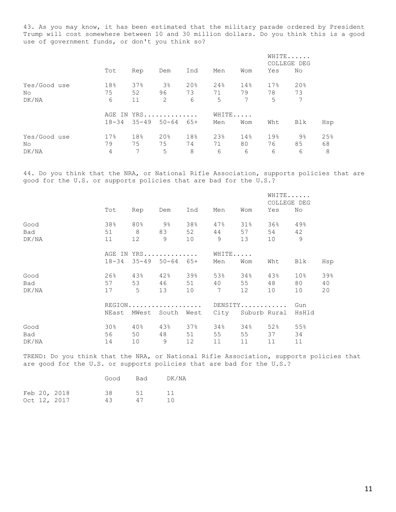43. As you may know, it has been estimated that the military parade ordered by President Trump will cost somewhere between 10 and 30 million dollars. Do you think this is a good use of government funds, or don't you think so?

|              |           |            |                     |     |     | WHITE<br>COLLEGE DEG |     |     |     |
|--------------|-----------|------------|---------------------|-----|-----|----------------------|-----|-----|-----|
|              | Tot       | Rep        | Dem                 | Ind | Men | Wom                  | Yes | No  |     |
| Yes/Good use | 18%       | 37%        | 3 <sup>°</sup>      | 20% | 24% | 14%                  | 17% | 20% |     |
| No           | 75        | 52         | 96                  | 73  | 71  | 79                   | 78  | 73  |     |
| DK/NA        | 6         | 11         | 2                   | 6   | 5   | 7                    | 5   | 7   |     |
|              |           | AGE IN YRS |                     |     |     |                      |     |     |     |
|              | $18 - 34$ |            | $35 - 49$ $50 - 64$ | 65+ | Men | Wom                  | Wht | Blk | Hsp |
| Yes/Good use | 17.8      | 18%        | 20 <sub>8</sub>     | 18% | 23% | 14%                  | 19% | 9%  | 25% |
| No           | 79        | 75         | 75                  | 74  | 71  | 80                   | 76  | 85  | 68  |
| DK/NA        | 4         | 7          | 5                   | 8   | 6   | 6                    | 6   | 6   | 8   |

44. Do you think that the NRA, or National Rifle Association, supports policies that are good for the U.S. or supports policies that are bad for the U.S.?

|                      |                     |                          |                                                      |                 |                              |                    | WHITE<br>COLLEGE DEG    |                             |                 |
|----------------------|---------------------|--------------------------|------------------------------------------------------|-----------------|------------------------------|--------------------|-------------------------|-----------------------------|-----------------|
|                      | Tot                 | Rep                      | Dem                                                  | Ind             | Men                          | Wom                | Yes                     | No                          |                 |
| Good<br>Bad<br>DK/NA | 38%<br>51<br>11     | 80%<br>8<br>12           | 9%<br>83<br>9                                        | 38%<br>52<br>10 | 47%<br>44<br>$\overline{9}$  | $31\%$<br>57<br>13 | 36%<br>54<br>10         | 49%<br>42<br>9              |                 |
|                      | AGE IN<br>$18 - 34$ | $35 - 49$                | $YRS$<br>$50 - 64$                                   | $65+$           | WHITE.<br>Men                | $\ddots$<br>Wom    | Wht                     | Blk                         | Hsp             |
| Good<br>Bad<br>DK/NA | 26%<br>57<br>17     | 43%<br>53<br>$5^{\circ}$ | 42%<br>46<br>13                                      | 39%<br>51<br>10 | 53%<br>40<br>$7\overline{ }$ | 34%<br>55<br>12    | 43%<br>48<br>10         | 10 <sub>8</sub><br>80<br>10 | 39%<br>40<br>20 |
|                      | NEast               | MWest                    | $REGION \ldots \ldots \ldots \ldots \ldots$<br>South | West            | City                         |                    | DENSITY<br>Suburb Rural | Gun<br>HsHld                |                 |
| Good<br>Bad<br>DK/NA | 30%<br>56<br>14     | $40\%$<br>50<br>10       | 43%<br>48<br>$\overline{9}$                          | 37%<br>51<br>12 | 34%<br>55<br>11              | 34%<br>55<br>11    | 52%<br>37<br>11         | 55%<br>34<br>11             |                 |

TREND: Do you think that the NRA, or National Rifle Association, supports policies that are good for the U.S. or supports policies that are bad for the U.S.?

|  |              | Good | Bad | DK/NA |
|--|--------------|------|-----|-------|
|  | Feb 20, 2018 | 38.  | 51  | 11    |
|  | Oct 12, 2017 | 43.  | 47  | 1 N   |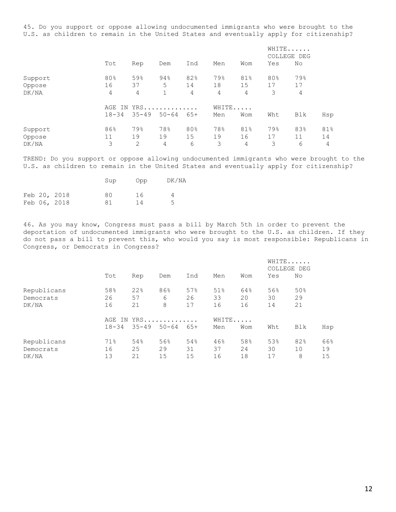45. Do you support or oppose allowing undocumented immigrants who were brought to the U.S. as children to remain in the United States and eventually apply for citizenship?

|         |           |            |              |       |     |     | WHITE<br>COLLEGE DEG |     |     |  |
|---------|-----------|------------|--------------|-------|-----|-----|----------------------|-----|-----|--|
|         | Tot       | Rep        | Dem          | Ind   | Men | Wom | Yes                  | No  |     |  |
| Support | 80%       | 59%        | 94%          | 82%   | 79% | 81% | 80%                  | 79% |     |  |
| Oppose  | 16        | 37         | 5            | 14    | 18  | 15  | 17                   | 17  |     |  |
| DK/NA   | 4         | 4          | $\mathbf{1}$ | 4     | 4   | 4   | 3                    | 4   |     |  |
|         |           | AGE IN YRS |              |       |     |     | WHITE                |     |     |  |
|         | $18 - 34$ | $35 - 49$  | $50 - 64$    | $65+$ | Men | Wom | Wht                  | Blk | Hsp |  |
| Support | 86%       | 79%        | 78%          | 80%   | 78% | 81% | 79%                  | 83% | 81% |  |
| Oppose  | 11        | 19         | 19           | 15    | 19  | 16  | 17                   | 11  | 14  |  |
| DK/NA   | 3         | 2          | 4            | 6     | 3   | 4   | 3                    | 6   | 4   |  |

TREND: Do you support or oppose allowing undocumented immigrants who were brought to the U.S. as children to remain in the United States and eventually apply for citizenship?

|  |              | Sup | aaO | DK/NA |
|--|--------------|-----|-----|-------|
|  | Feb 20, 2018 | 80  | 16  |       |
|  | Feb 06, 2018 | 81  | 14  | 5     |

46. As you may know, Congress must pass a bill by March 5th in order to prevent the deportation of undocumented immigrants who were brought to the U.S. as children. If they do not pass a bill to prevent this, who would you say is most responsible: Republicans in Congress, or Democrats in Congress?

|             |                     |     |                     |       |     |       | WHITE<br>COLLEGE DEG |     |     |
|-------------|---------------------|-----|---------------------|-------|-----|-------|----------------------|-----|-----|
|             | Tot                 | Rep | Dem                 | Ind   | Men | Wom   | Yes                  | No  |     |
| Republicans | 58%                 | 22% | 86%                 | 57%   | 51% | 64%   | 56%                  | 50% |     |
| Democrats   | 26                  | 57  | 6                   | 26    | 33  | 20    | 30                   | 29  |     |
| DK/NA       | 16                  | 21  | 8                   | 17    | 16  | 16    | 14                   | 21  |     |
|             | $YRS$<br>AGE<br>IN. |     |                     |       |     | WHITE |                      |     |     |
|             | $18 - 34$           |     | $35 - 49$ $50 - 64$ | $65+$ | Men | Wom   | Wht                  | Blk | Hsp |
| Republicans | 71%                 | 54% | 56%                 | 54%   | 46% | 58%   | 53%                  | 82% | 66% |
| Democrats   | 16                  | 25  | 29                  | 31    | 37  | 24    | 30                   | 10  | 19  |
| DK/NA       | 13                  | 21  | 15                  | 15    | 16  | 18    | 17                   | 8   | 15  |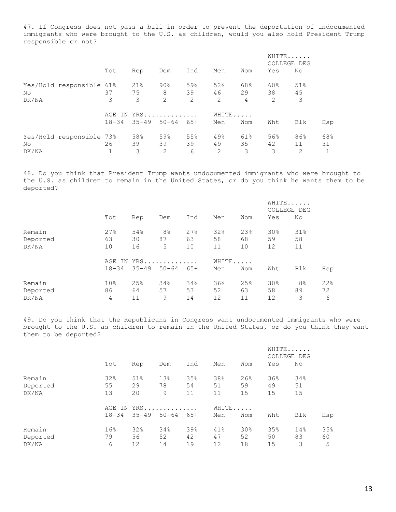47. If Congress does not pass a bill in order to prevent the deportation of undocumented immigrants who were brought to the U.S. as children, would you also hold President Trump responsible or not?

|       |                          |           |        |           |       |                |     | WHITE<br>COLLEGE DEG |     |     |
|-------|--------------------------|-----------|--------|-----------|-------|----------------|-----|----------------------|-----|-----|
|       |                          | Tot       | Rep    | Dem       | Ind   | Men            | Wom | Yes                  | No  |     |
|       | Yes/Hold responsible 61% |           | $21\%$ | 90%       | 59%   | 52%            | 68% | 60%                  | 51% |     |
| No    |                          | 37        | 75     | 8         | 39    | 46             | 29  | 38                   | 45  |     |
| DK/NA |                          | 3         | 3      | 2         | 2     | 2              | 4   | 2                    | 3   |     |
|       |                          | AGE IN    |        | $YRS$     |       | WHITE          |     |                      |     |     |
|       |                          | $18 - 34$ | 35-49  | $50 - 64$ | $65+$ | Men            | Wom | Wht                  | Blk | Hsp |
|       | Yes/Hold responsible 73% |           | 58%    | 59%       | 55%   | 49%            | 61% | 56%                  | 86% | 68% |
| No    |                          | 26        | 39     | 39        | 39    | 49             | 35  | 42                   | 11  | 31  |
| DK/NA |                          |           | 3      | 2         | 6     | $\mathfrak{D}$ | 3   | 3                    | 2   |     |

48. Do you think that President Trump wants undocumented immigrants who were brought to the U.S. as children to remain in the United States, or do you think he wants them to be deported?

|          |                 |                        |                |     |     |     | WHITE<br>COLLEGE DEG |                |     |
|----------|-----------------|------------------------|----------------|-----|-----|-----|----------------------|----------------|-----|
|          | Tot             | Rep                    | Dem            | Ind | Men | Wom | Yes                  | No             |     |
| Remain   | 27%             | 54%                    | 8 <sup>°</sup> | 27% | 32% | 23% | 30%                  | 31%            |     |
| Deported | 63              | 30                     | 87             | 63  | 58  | 68  | 59                   | 58             |     |
| DK/NA    | 10              | 16                     | 5              | 10  | 11  | 10  | 12                   | 11             |     |
|          |                 | WHITE<br>YRS<br>AGE IN |                |     |     |     |                      |                |     |
|          | $18 - 34$       | $35 - 49$              | $50 - 64$      | 65+ | Men | Wom | Wht                  | Blk            | Hsp |
| Remain   | 10 <sub>8</sub> | 25%                    | 34%            | 34% | 36% | 25% | 30%                  | 8 <sup>°</sup> | 22% |
| Deported | 86              | 64                     | 57             | 53  | 52  | 63  | 58                   | 89             | 72  |
| DK/NA    | 4               | 11                     | 9              | 14  | 12  | 11  | 12                   | 3              | 6   |

49. Do you think that the Republicans in Congress want undocumented immigrants who were brought to the U.S. as children to remain in the United States, or do you think they want them to be deported?

|          |           |                      |           |     |     |                 | WHITE<br>COLLEGE DEG |     |     |
|----------|-----------|----------------------|-----------|-----|-----|-----------------|----------------------|-----|-----|
|          | Tot       | Rep                  | Dem       | Ind | Men | Wom             | Yes                  | No  |     |
| Remain   | 32%       | 51%                  | 13%       | 35% | 38% | 26%             | 36%                  | 34% |     |
| Deported | 55        | 29                   | 78        | 54  | 51  | 59              | 49                   | 51  |     |
| DK/NA    | 13        | 20                   | 9         | 11  | 11  | 15              | 15                   | 15  |     |
|          | AGE       | WHITE<br>$YRS$<br>IN |           |     |     |                 |                      |     |     |
|          | $18 - 34$ | 35-49                | $50 - 64$ | 65+ | Men | Wom             | Wht                  | Blk | Hsp |
| Remain   | 16%       | 32%                  | 34%       | 39% | 41% | 30 <sub>8</sub> | 35%                  | 14% | 35% |
| Deported | 79        | 56                   | 52        | 42  | 47  | 52              | 50                   | 83  | 60  |
| DK/NA    | 6         | 12                   | 14        | 19  | 12  | 18              | 15                   | 3   | 5   |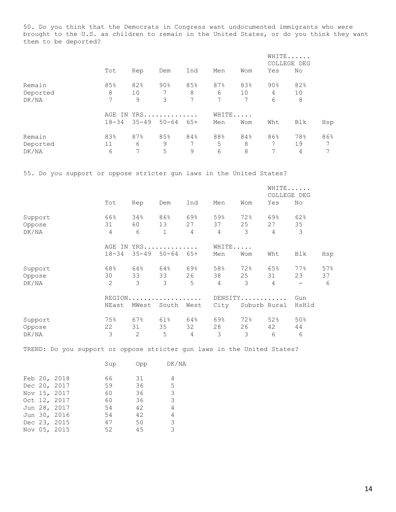50. Do you think that the Democrats in Congress want undocumented immigrants who were brought to the U.S. as children to remain in the United States, or do you think they want them to be deported?

|          |           |            |           |       |     |     | WHITE<br>COLLEGE DEG |     |     |
|----------|-----------|------------|-----------|-------|-----|-----|----------------------|-----|-----|
|          | Tot       | Rep        | Dem       | Ind   | Men | Wom | Yes                  | No  |     |
| Remain   | 85%       | 82%        | 90%       | 85%   | 87% | 83% | $90\%$               | 82% |     |
| Deported | 8         | 10         | 7         | 8     | 6   | 10  | 4                    | 10  |     |
| DK/NA    | 7         | 9          | 3         | 7     | 7   | 7   | 6                    | 8   |     |
|          |           | AGE IN YRS |           |       |     |     |                      |     |     |
|          | $18 - 34$ | $35 - 49$  | $50 - 64$ | $65+$ | Men | Wom | Wht                  | Blk | Hsp |
| Remain   | 83%       | 87%        | 85%       | 84%   | 88% | 84% | 86%                  | 78% | 86% |
| Deported | 11        | 6          | 9         |       | 5   | 8   | 7                    | 19  | 7   |
| DK/NA    | 6         | 7          | 5         | 9     | 6   | 8   | 7                    | 4   | 7   |

55. Do you support or oppose stricter gun laws in the United States?

|         |                |                |              |       |       |         | WHITE<br>COLLEGE DEG |                          |     |
|---------|----------------|----------------|--------------|-------|-------|---------|----------------------|--------------------------|-----|
|         | Tot            | Rep            | Dem          | Ind   | Men   | Wom     | Yes                  | No                       |     |
| Support | 66%            | 34%            | 86%          | 69%   | 59%   | 72%     | 69%                  | 62%                      |     |
| Oppose  | 31             | 60             | 13           | 27    | 37    | 25      | 27                   | 35                       |     |
| DK/NA   | 4              | 6              | $\mathbf{1}$ | 4     | 4     | 3       | 4                    | 3                        |     |
|         | AGE IN         |                | $YRS$        |       | WHITE |         |                      |                          |     |
|         | $18 - 34$      | $35 - 49$      | $50 - 64$    | $65+$ | Men   | Wom     | Wht                  | Blk                      | Hsp |
| Support | 68%            | 64%            | 64%          | 69%   | 58%   | 72%     | 65%                  | 77%                      | 57% |
| Oppose  | 30             | 33             | 33           | 26    | 38    | 25      | 31                   | 23                       | 37  |
| DK/NA   | $\overline{2}$ | 3              | 3            | 5     | 4     | 3       | 4                    | $\overline{\phantom{0}}$ | 6   |
|         | REGION.        |                |              |       |       | DENSITY |                      | Gun                      |     |
|         | NEast          | MWest          | South        | West  | City  |         | Suburb Rural         | HsHld                    |     |
| Support | 75%            | 67%            | 61%          | 64%   | 69%   | 72%     | 52%                  | 50%                      |     |
| Oppose  | 22             | 31             | 35           | 32    | 28    | 26      | 42                   | 44                       |     |
| DK/NA   | 3              | $\overline{2}$ | 5            | 4     | 3     | 3       | 6                    | 6                        |     |

TREND: Do you support or oppose stricter gun laws in the United States?

|  |              | Sup | Opp | DK/NA |
|--|--------------|-----|-----|-------|
|  | Feb 20, 2018 | 66  | 31  | 4     |
|  | Dec 20, 2017 | 59  | 36  | 5     |
|  | Nov 15, 2017 | 60  | 36  | 3     |
|  | Oct 12, 2017 | 60  | 36  | 3     |
|  | Jun 28, 2017 | 54  | 42  | 4     |
|  | Jun 30, 2016 | 54  | 42  | 4     |
|  | Dec 23, 2015 | 47  | 50  | 3     |
|  | Nov 05, 2015 | 52  | 45  | 3     |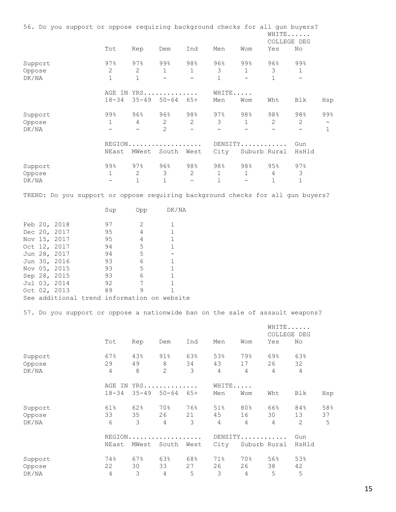| 56. Do you support or oppose requiring background checks for all gun buyers?    |                                   |                  |                            |                          |                       |                                          | WHITE<br>COLLEGE DEG              |                                          |              |
|---------------------------------------------------------------------------------|-----------------------------------|------------------|----------------------------|--------------------------|-----------------------|------------------------------------------|-----------------------------------|------------------------------------------|--------------|
|                                                                                 | Tot                               | Rep              | Dem                        | Ind                      | Men                   | Wom                                      | Yes                               | No                                       |              |
| Support                                                                         | 97%                               | 97%              | 99%                        | 98%                      | 96%                   | 99%                                      | $96\%$                            | 99%                                      |              |
| Oppose                                                                          | 2                                 | 2                | $\mathbf{1}$               | 1                        | $\mathcal{S}$         | $\mathbf{1}$                             | 3                                 | 1                                        |              |
| DK/NA                                                                           | $\mathbf{1}$                      | $\mathbf{1}$     | $\qquad \qquad -$          | $\overline{\phantom{0}}$ | $\mathbf{1}$          | $\overline{\phantom{0}}$                 | $\mathbf 1$                       | $\overline{\phantom{a}}$                 |              |
|                                                                                 |                                   |                  | AGE IN YRS                 |                          | WHITE                 |                                          |                                   |                                          |              |
|                                                                                 | $18 - 34$                         |                  | $35 - 49$ $50 - 64$ $65 +$ |                          | Men                   | Wom                                      | Wht                               | Blk                                      | Hsp          |
|                                                                                 | 99%                               |                  |                            |                          | 97%                   |                                          |                                   |                                          | 99%          |
| Support                                                                         |                                   | $96\%$           | $96\%$                     | 98%                      |                       | 98%                                      | 98%                               | 98%                                      |              |
| Oppose                                                                          | $\mathbf{1}$<br>$\qquad \qquad -$ | 4<br>$-$         | $\overline{2}$<br>2        | $2\overline{ }$<br>$-$   | $\overline{3}$<br>$-$ | $\mathbf{1}$<br>$\overline{\phantom{0}}$ | $\mathbf{2}$<br>$\qquad \qquad -$ | $\mathbf{2}$<br>$\overline{\phantom{m}}$ | $\mathbf{1}$ |
| DK/NA                                                                           |                                   |                  |                            |                          |                       |                                          |                                   |                                          |              |
|                                                                                 |                                   |                  | REGION                     |                          |                       | DENSITY                                  |                                   | Gun                                      |              |
|                                                                                 | NEast                             |                  | MWest South West           |                          | City                  | Suburb Rural                             |                                   | HsHld                                    |              |
| Support                                                                         | 99%                               | 97%              | 96%                        | 98%                      | 98%                   | 98%                                      | 95%                               | $97\%$                                   |              |
| Oppose                                                                          | $\mathbf{1}$                      | $\mathbf{2}$     | 3                          | $\overline{2}$           | $\mathbf{1}$          | $\mathbf{1}$                             | $\overline{4}$                    | $\mathfrak{Z}$                           |              |
| DK/NA                                                                           | $\qquad \qquad -$                 | $\mathbf{1}$     | $\mathbf{1}$               | $\overline{\phantom{a}}$ | $\mathbf{1}$          | $\overline{\phantom{0}}$                 | $\mathbf{1}$                      | 1                                        |              |
| TREND: Do you support or oppose requiring background checks for all gun buyers? | Sup                               | Opp              | DK/NA                      |                          |                       |                                          |                                   |                                          |              |
|                                                                                 |                                   |                  |                            |                          |                       |                                          |                                   |                                          |              |
| Feb 20, 2018                                                                    | 97                                | 2                | $\mathbf{1}$               |                          |                       |                                          |                                   |                                          |              |
| Dec 20, 2017                                                                    | 95                                | 4                | $\,1\,$                    |                          |                       |                                          |                                   |                                          |              |
| Nov 15, 2017                                                                    | 95                                | 4                | 1                          |                          |                       |                                          |                                   |                                          |              |
| Oct 12, 2017                                                                    | 94                                | 5                | $\mathbf{1}$               |                          |                       |                                          |                                   |                                          |              |
| Jun 28, 2017                                                                    | 94                                | 5                | $\qquad \qquad -$          |                          |                       |                                          |                                   |                                          |              |
| Jun 30, 2016                                                                    | 93                                | 6                | $\mathbf 1$                |                          |                       |                                          |                                   |                                          |              |
| Nov 05, 2015                                                                    |                                   | 5                |                            |                          |                       |                                          |                                   |                                          |              |
|                                                                                 | 93                                |                  | $\mathbf 1$                |                          |                       |                                          |                                   |                                          |              |
| Sep 28, 2015                                                                    | 93                                | 6                | $\mathbf 1$                |                          |                       |                                          |                                   |                                          |              |
| Jul 03, 2014                                                                    | 92                                | $\boldsymbol{7}$ | $\mathbf 1$                |                          |                       |                                          |                                   |                                          |              |
| Oct 02, 2013                                                                    | 89                                | 9                | $\mathbf{1}$               |                          |                       |                                          |                                   |                                          |              |
| See additional trend information on website                                     |                                   |                  |                            |                          |                       |                                          |                                   |                                          |              |
| 57. Do you support or oppose a nationwide ban on the sale of assault weapons?   |                                   |                  |                            |                          |                       |                                          |                                   |                                          |              |
|                                                                                 |                                   |                  |                            |                          |                       |                                          | WHITE<br>COLLEGE DEG              |                                          |              |
|                                                                                 | Tot                               | Rep              | Dem                        | Ind                      | Men                   | Wom                                      | Yes                               | No                                       |              |
| Support                                                                         | 67%                               | 43%              | $91\%$                     | 63%                      | 53%                   | 79%                                      | 69%                               | 63%                                      |              |
| Oppose                                                                          | 29                                | 49               | $\,8\,$                    | 34                       | 43                    | 17                                       | 26                                | 32                                       |              |
|                                                                                 | $\overline{4}$                    | 8                | $\overline{c}$             | 3                        | $\overline{4}$        | $\overline{4}$                           | 4                                 | $\overline{4}$                           |              |
| DK/NA                                                                           |                                   |                  |                            |                          |                       |                                          |                                   |                                          |              |
|                                                                                 |                                   |                  | AGE IN YRS                 |                          | WHITE                 |                                          |                                   |                                          |              |
|                                                                                 | $18 - 34$                         |                  | $35 - 49$ $50 - 64$        | $65+$                    | Men                   | Wom                                      | Wht                               | Blk                                      | Hsp          |
| Support                                                                         | 61%                               | 62%              | 70%                        | 76%                      | 51%                   | 80%                                      | 66%                               | 84%                                      | 58%          |
| Oppose                                                                          | 33                                | 35               | 26                         | 21                       | 45                    | 16                                       | 30                                | 13 <sup>°</sup>                          | 37           |
| DK/NA                                                                           | 6                                 | 3                | 4                          | 3                        | $\overline{4}$        | 4                                        | 4                                 | $\mathbf{2}$                             | $\mathsf S$  |
|                                                                                 |                                   |                  | REGION.                    |                          |                       | $DEFINSTTY$                              |                                   | Gun                                      |              |
|                                                                                 | NEast                             |                  | MWest South West           |                          | City                  | Suburb Rural                             |                                   | HsHld                                    |              |
| Support                                                                         | 74%                               | 67%              | 63%                        | 68%                      | 71%                   | 70%                                      | 56%                               | 53%                                      |              |
| Oppose                                                                          | 22                                | 30               | 33                         | 27                       | 26                    | 26                                       | 38                                | 42                                       |              |
|                                                                                 |                                   |                  |                            |                          |                       |                                          |                                   |                                          |              |

DK/NA 4 3 4 5 3 4 5 5

15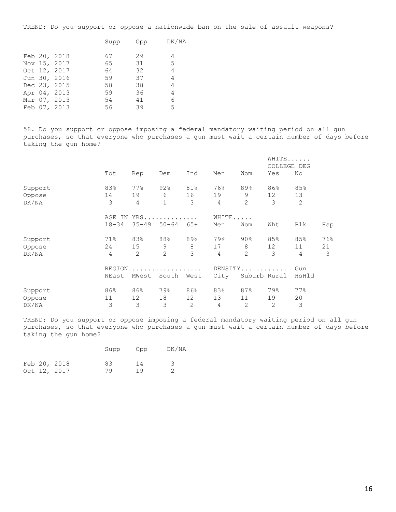TREND: Do you support or oppose a nationwide ban on the sale of assault weapons?

|  |              | Supp | Opp | DK/NA |
|--|--------------|------|-----|-------|
|  | Feb 20, 2018 | 67   | 29  | 4     |
|  | Nov 15, 2017 | 65   | 31  | .5    |
|  | Oct 12, 2017 | 64   | 32  | 4     |
|  | Jun 30, 2016 | 59   | 37  | 4     |
|  | Dec 23, 2015 | 58   | 38  | 4     |
|  | Apr 04, 2013 | 59   | 36  | 4     |
|  | Mar 07, 2013 | 54   | 41  | 6     |
|  | Feb 07, 2013 | 56   | 39  | 5.    |
|  |              |      |     |       |

58. Do you support or oppose imposing a federal mandatory waiting period on all gun purchases, so that everyone who purchases a gun must wait a certain number of days before taking the gun home?

|         |               |           |              |       |       |              | WHITE<br>COLLEGE DEG |                |     |
|---------|---------------|-----------|--------------|-------|-------|--------------|----------------------|----------------|-----|
|         | Tot           | Rep       | Dem          | Ind   | Men   | Wom          | Yes                  | No             |     |
| Support | 83%           | 77%       | 92%          | 81%   | 76%   | 89%          | 86%                  | 85%            |     |
| Oppose  | 14            | 19        | 6            | 16    | 19    | 9            | 12                   | 13             |     |
| DK/NA   | 3             | 4         | $\mathbf{1}$ | 3     | 4     | 2            | 3                    | 2              |     |
|         | AGE<br>ΙN     |           | $YRS$        |       | WHITE |              |                      |                |     |
|         | $18 - 34$     | $35 - 49$ | $50 - 64$    | $65+$ | Men   | Wom          | Wht                  | Blk            | Hsp |
| Support | 71%           | 83%       | 88%          | 89%   | 79%   | $90\%$       | 85%                  | 85%            | 76% |
| Oppose  | 24            | 15        | 9            | 8     | 17    | 8            | 12                   | 11             | 21  |
| DK/NA   | 4             | 2         | 2            | 3     | 4     | 2            | 3                    | $\overline{4}$ | 3   |
|         | <b>REGION</b> |           |              |       |       |              | DENSITY              | Gun            |     |
|         | NEast         | MWest     | South        | West  | City  |              | Suburb Rural         | HsHld          |     |
| Support | 86%           | 86%       | 79%          | 86%   | 83%   | 87%          | 79%                  | 77%            |     |
| Oppose  | 11            | 12        | 18           | 12    | 13    | 11           | 19                   | 20             |     |
| DK/NA   | 3             | 3         | 3            | 2     | 4     | $\mathbf{2}$ | 2                    | 3              |     |

TREND: Do you support or oppose imposing a federal mandatory waiting period on all gun purchases, so that everyone who purchases a gun must wait a certain number of days before taking the gun home?

|  |              | Supp | agO | DK/NA |
|--|--------------|------|-----|-------|
|  | Feb 20, 2018 | 83   | 14  |       |
|  | Oct 12, 2017 | 79   | 19  |       |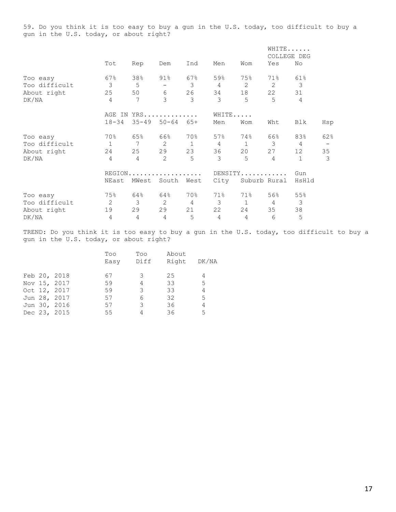59. Do you think it is too easy to buy a gun in the U.S. today, too difficult to buy a gun in the U.S. today, or about right?

|               |                |                 |                          |                |                |                | WHITE          |                 |                   |
|---------------|----------------|-----------------|--------------------------|----------------|----------------|----------------|----------------|-----------------|-------------------|
|               |                |                 |                          |                |                |                | COLLEGE DEG    |                 |                   |
|               | Tot            | Rep             | Dem                      | Ind            | Men            | Wom            | Yes            | No              |                   |
| Too easy      | 67%            | 38%             | 91%                      | 67%            | 59%            | 75%            | 71%            | 61%             |                   |
| Too difficult | $\mathcal{S}$  | 5               | $\overline{\phantom{a}}$ | 3              | $\overline{4}$ | 2              | 2              | 3               |                   |
| About right   | 25             | 50              | 6                        | 26             | 34             | 18             | 22             | 31              |                   |
| DK/NA         | $\overline{4}$ | $7\phantom{.0}$ | 3                        | 3              | 3              | 5              | 5              | $\overline{4}$  |                   |
|               |                |                 | AGE IN YRS               |                | WHITE          |                |                |                 |                   |
|               | $18 - 34$      | $35 - 49$       | $50 - 64$                | $65+$          | Men            | Wom            | Wht            | Blk             | Hsp               |
| Too easy      | 70%            | 65%             | 66%                      | 70%            | 57%            | 74%            | 66%            | 83%             | 62%               |
| Too difficult | $\mathbf{1}$   | 7               | $\mathbf{2}$             | $\mathbf{1}$   | $\overline{4}$ | $\mathbf{1}$   | 3              | 4               | $\qquad \qquad -$ |
| About right   | 24             | 25              | 29                       | 23             | 36             | 20             | 27             | 12 <sup>°</sup> | 35                |
| DK/NA         | 4              | 4               | $\overline{2}$           | 5              | 3              | $\overline{5}$ | 4              | $\mathbf{1}$    | 3                 |
|               |                |                 | REGION                   |                |                |                | DENSITY        | Gun             |                   |
|               | NEast          | MWest           | South                    | West           | City           |                | Suburb Rural   | HsHld           |                   |
| Too easy      | 75%            | 64%             | 64%                      | 70%            | 71%            | $71\%$         | 56%            | 55%             |                   |
| Too difficult | $\overline{c}$ | $\mathcal{S}$   | 2                        | $\overline{4}$ | $\mathcal{S}$  | $\mathbf{1}$   | $\overline{4}$ | 3               |                   |
| About right   | 19             | 29              | 29                       | 21             | 22             | 24             | 35             | 38              |                   |
| DK/NA         | 4              | 4               | $\overline{4}$           | 5              | $\overline{4}$ | $\overline{4}$ | 6              | 5               |                   |

TREND: Do you think it is too easy to buy a gun in the U.S. today, too difficult to buy a gun in the U.S. today, or about right?

|  |              | Too  | Too  | About |       |
|--|--------------|------|------|-------|-------|
|  |              | Easy | Diff | Right | DK/NA |
|  |              |      |      |       |       |
|  | Feb 20, 2018 | 67   | З    | 25    | 4     |
|  | Nov 15, 2017 | 59   | 4    | 33    | 5     |
|  | Oct 12, 2017 | 59   | 3    | 33    | 4     |
|  | Jun 28, 2017 | 57   | 6    | 32    | 5     |
|  | Jun 30, 2016 | 57   | 3    | 36    | 4     |
|  | Dec 23, 2015 | 55   |      | 36    | 5     |
|  |              |      |      |       |       |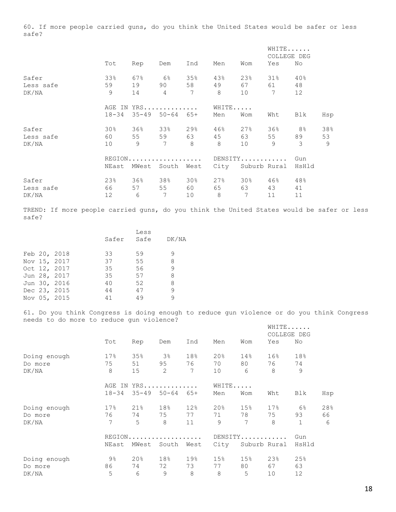60. If more people carried guns, do you think the United States would be safer or less safe?

|           |                 |       |                                             |                 |                |             | WHITE<br>COLLEGE DEG |       |     |
|-----------|-----------------|-------|---------------------------------------------|-----------------|----------------|-------------|----------------------|-------|-----|
|           | Tot             | Rep   | Dem                                         | Ind             | Men            | Wom         | Yes                  | No    |     |
| Safer     | 33%             | 67%   | 6월                                          | 35%             | 43%            | 23%         | $31\%$               | 40%   |     |
| Less safe | 59              | 19    | 90 — 10                                     | 58              | 49             | 67 — 10     | 61                   | 48    |     |
| DK/NA     | 9               | 14    | $\overline{4}$                              | $7\phantom{.0}$ | 8 <sup>8</sup> | 10          | $7\phantom{.0}$      | 12    |     |
|           |                 |       | AGE IN YRS                                  |                 | WHITE          |             |                      |       |     |
|           | $18 - 34$       |       | $35 - 49$ $50 - 64$ $65 +$                  |                 | Men            | Wom         | Wht                  | Blk   | Hsp |
| Safer     | 30 <sub>8</sub> |       | 36% 33%                                     | 29%             | 46%            | $27\%$      | 36%                  | 8%    | 38% |
| Less safe | 60 —            | 55    | 59                                          | 63              | 45             | 63          | 55                   | 89    | 53  |
| DK/NA     | 10 <sup>°</sup> | 9     | $\overline{7}$                              | 8               | 8              | 10          | 9                    | 3     | 9   |
|           |                 |       | $REGION \ldots \ldots \ldots \ldots \ldots$ |                 |                | DENSITY     |                      | Gun   |     |
|           | NEast           | MWest | South                                       | West            | City           |             | Suburb Rural         | HsHld |     |
| Safer     | 23%             | 36%   | 38%                                         | 30%             | 27%            | <b>30</b> % | 46%                  | 48%   |     |
| Less safe | 66 —            | 57    | 55                                          | 60 — 10         | 65             | 63          | 43                   | 41    |     |
| DK/NA     | 12 <sup>°</sup> | 6     | 7                                           | 10              | 8              | 7           | 11                   | 11    |     |

TREND: If more people carried guns, do you think the United States would be safer or less safe?

|  |              |       | Less |       |
|--|--------------|-------|------|-------|
|  |              | Safer | Safe | DK/NA |
|  |              |       |      |       |
|  | Feb 20, 2018 | 33    | 59   | 9     |
|  | Nov 15, 2017 | 37    | 55   | 8     |
|  | Oct 12, 2017 | 35    | 56   | 9     |
|  | Jun 28, 2017 | 35    | 57   | 8     |
|  | Jun 30, 2016 | 40    | 52   | 8     |
|  | Dec 23, 2015 | 44    | 47   | 9     |
|  | Nov 05, 2015 | 41    | 49   | 9     |
|  |              |       |      |       |

61. Do you think Congress is doing enough to reduce gun violence or do you think Congress needs to do more to reduce gun violence?

|              |                 |        |                            |                 |                 |                 | WHITE<br>COLLEGE DEG |               |     |
|--------------|-----------------|--------|----------------------------|-----------------|-----------------|-----------------|----------------------|---------------|-----|
|              | Tot             | Rep    | Dem                        | Ind             | Men             | Wom             | Yes                  | No            |     |
| Doing enough | 17%             | 35%    | 3%                         | 18%             | 20%             | 14%             | $16\%$               | 18%           |     |
| Do more      | 75              | 51     | 95                         | 76              | 70              | 80 — 10         | 76 —                 | 74            |     |
| DK/NA        | 8               | 15     | $\overline{2}$             | 7               | 10              | 6               | 8                    | $\mathcal{Q}$ |     |
|              | AGE IN          |        | $YRS$                      |                 | WHITE           |                 |                      |               |     |
|              | $18 - 34$       |        | $35 - 49$ $50 - 64$ $65 +$ |                 | Men             | Wom             | Wht                  | Blk           | Hsp |
| Doing enough | 17 <sup>°</sup> | 21%    | 18%                        | 12 <sup>°</sup> | 20 <sup>8</sup> | 15%             | $17\%$               | 6%            | 28% |
| Do more      | 76 —            |        | 74 75 77                   |                 | 71              | 78              | 75                   | 93            | 66  |
| DK/NA        | $\overline{7}$  | 5      | 8                          | 11              | 9               | $7\overline{ }$ | 8                    | $\mathbf{1}$  | 6   |
|              |                 |        | $REGION$                   |                 |                 |                 | DENSITY              | Gun           |     |
|              | NEast           | MWest  | South                      | West            | City            |                 | Suburb Rural         | HsHld         |     |
| Doing enough | 9%              | $20\%$ | 18%                        | 19%             | 15 <sup>°</sup> | 15%             | 23%                  | 25%           |     |
| Do more      | 86              | 74     | 72                         | 73              | 77              | 80              | 67                   | 63            |     |
| DK/NA        | 5               | 6      | 9                          | 8               | 8               | 5               | 10                   | 12            |     |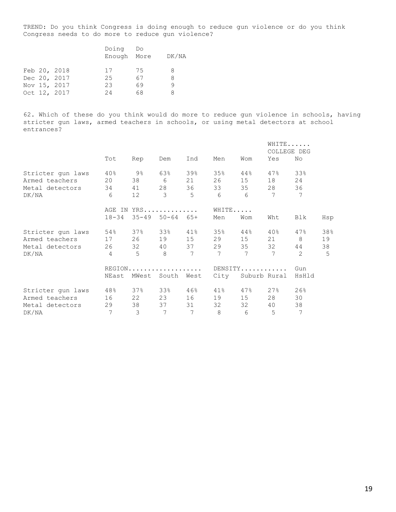TREND: Do you think Congress is doing enough to reduce gun violence or do you think Congress needs to do more to reduce gun violence?

|  |              | Doing Do    |    |       |
|--|--------------|-------------|----|-------|
|  |              | Enough More |    | DK/NA |
|  |              |             |    |       |
|  | Feb 20, 2018 | 17          | 75 | 8     |
|  | Dec 20, 2017 | 25          | 67 | 8     |
|  | Nov 15, 2017 | 23          | 69 |       |
|  | Oct 12, 2017 | 24          | 68 | 8     |

62. Which of these do you think would do more to reduce gun violence in schools, having stricter gun laws, armed teachers in schools, or using metal detectors at school entrances?

|                   |                |                 |                     |                 |         |                         | WHITE<br>COLLEGE DEG |               |     |
|-------------------|----------------|-----------------|---------------------|-----------------|---------|-------------------------|----------------------|---------------|-----|
|                   | Tot            | Rep             | Dem                 | Ind             | Men     | Wom                     | Yes                  | No            |     |
| Stricter gun laws | 40%            | 9%              | 63%                 | 39%             | 35%     | $4\,4\,$ $\phantom{1}8$ | 47%                  | 33%           |     |
| Armed teachers    | 20             | 38              | $6 \qquad \qquad$   | 21              | 26      | 15                      | 18                   | 24            |     |
| Metal detectors   | 34             | 41              | 28                  | 36              | 33      | 35                      | 28                   | 36            |     |
| DK/NA             | 6              | 12 <sup>°</sup> | 3                   | $5^{\circ}$     | 6       | 6                       | $7\phantom{.0}$      | 7             |     |
|                   |                |                 | AGE IN YRS          |                 | WHITE   |                         |                      |               |     |
|                   | $18 - 34$      |                 | $35 - 49$ $50 - 64$ | $65+$           | Men     | Wom                     | Wht                  | Blk           | Hsp |
| Stricter gun laws | 54%            | 37%             | 33%                 | 41%             | 35%     | 44%                     | 40%                  | 47%           | 38% |
| Armed teachers    | 17             |                 | 26 19               | 15              | 29      | 15                      | 21                   | 8             | 19  |
| Metal detectors   | 26             |                 | 32 40               | 37              | 29      | 35                      | 32                   | 44            | 38  |
| DK/NA             | $\overline{4}$ | 5               | 8                   | 7               | 7       | $7\phantom{.0}$         | 7                    | $\mathcal{L}$ | 5   |
|                   |                |                 |                     |                 | DENSITY |                         |                      | Gun           |     |
|                   | NEast          | MWest           | South               | West            | City    |                         | Suburb Rural         | HsHld         |     |
| Stricter gun laws | 48%            |                 | 37% 33%             | 46%             | $41\%$  | $47\%$                  | 27%                  | 26%           |     |
| Armed teachers    | 16             | 22              | 23                  | 16              | 19      | 15                      | 28                   | 30            |     |
| Metal detectors   | 29             | 38              | 37                  | 31              | 32      | 32                      | 40                   | 38            |     |
| DK/NA             | 7              | 3               | $\overline{7}$      | $7\phantom{.0}$ | 8       | 6                       | 5                    | 7             |     |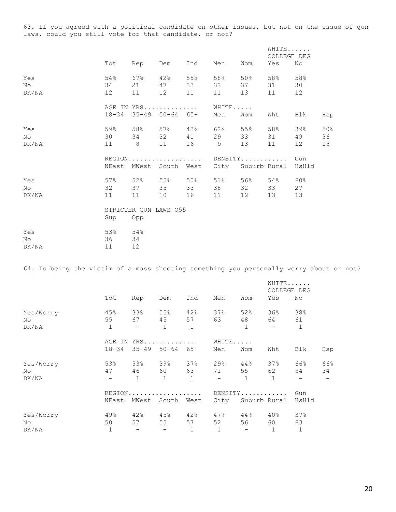63. If you agreed with a political candidate on other issues, but not on the issue of gun laws, could you still vote for that candidate, or not?

|                    |                 |                 |                                                                      |                 |                    |                  | WHITE<br>COLLEGE DEG |                 |                 |
|--------------------|-----------------|-----------------|----------------------------------------------------------------------|-----------------|--------------------|------------------|----------------------|-----------------|-----------------|
|                    | Tot             | Rep             | Dem                                                                  | Ind             | Men                | Wom              | Yes                  | No              |                 |
| Yes<br>No<br>DK/NA | 54%<br>34<br>12 | 67%<br>11       | $42\,$ %<br>21 47<br>12                                              | 55%<br>33<br>11 | 58%<br>32<br>11    | 50 %<br>37<br>13 | 58%<br>31<br>11      | 58%<br>30<br>12 |                 |
|                    |                 |                 | AGE IN YRS<br>18-34 35-49 50-64 65+                                  |                 | WHITE<br>Men       | Wom              | Wht                  | Blk             | Hsp             |
| Yes<br>No<br>DK/NA |                 | 11 8 11         | 59% 58% 57% 43%<br>30 34 32 41                                       | 16 9            | 62%<br>29          | 55%<br>33<br>13  | 58%<br>31<br>11      | 39%<br>49<br>12 | 50%<br>36<br>15 |
|                    |                 |                 | REGION DENSITY Gun<br>NEast MWest South West City Suburb Rural HsHld |                 |                    |                  |                      |                 |                 |
| Yes<br>No<br>DK/NA | 32<br>11        | 11              | $57\%$ 52% 55% 50%<br>37 35 33<br>10                                 | 16              | $51\%$<br>38<br>11 | 32<br>12         | 56% 54%<br>33<br>13  | 60%<br>27<br>13 |                 |
|                    | Sup             | Opp             | STRICTER GUN LAWS 055                                                |                 |                    |                  |                      |                 |                 |
| Yes<br>No<br>DK/NA | 53%<br>36<br>11 | 54%<br>34<br>12 |                                                                      |                 |                    |                  |                      |                 |                 |

64. Is being the victim of a mass shooting something you personally worry about or not?

|                           |                           |                                       |                           |                                |                                       |                                       | WHITE<br>COLLEGE DEG                  |                                       |           |  |
|---------------------------|---------------------------|---------------------------------------|---------------------------|--------------------------------|---------------------------------------|---------------------------------------|---------------------------------------|---------------------------------------|-----------|--|
|                           | Tot                       | Rep                                   | Dem                       | Ind                            | Men                                   | Wom                                   | Yes                                   | No                                    |           |  |
| Yes/Worry<br>No.<br>DK/NA | 45%<br>55<br>$\mathbf{1}$ | 33%<br>67 — 10<br>$\!-$               | 55%<br>45<br>$\mathbf{1}$ | 42%<br>57 — 17<br>$\mathbf{1}$ | 37%<br>63<br>$\overline{\phantom{a}}$ | 52%<br>48<br>$\mathbf{1}$             | 36%<br>64<br>$\overline{\phantom{0}}$ | 38%<br>61<br>$\mathbf{1}$             |           |  |
|                           | AGE IN<br>$18 - 34$       | $35 - 49$                             | $YRS$<br>$50 - 64$        | 65+                            | WHITE<br>Men                          | Wom                                   | Wht                                   | Blk                                   | Hsp       |  |
| Yes/Worry<br>No.<br>DK/NA | 53%<br>47                 | 53%<br>46<br>$\mathbf{1}$             | 39%<br>60<br>1            | 37%<br>63<br>$\mathbf{1}$      | 29%<br>71<br>$\overline{\phantom{0}}$ | 44%<br>55<br>$\mathbf{1}$             | 37%<br>62 — 10<br>1                   | 66%<br>34<br>$\overline{\phantom{0}}$ | 66%<br>34 |  |
|                           | NEast                     | MWest                                 | REGION<br>South           | West                           | City                                  |                                       | DENSITY<br>Suburb Rural               | Gun<br>HsHld                          |           |  |
| Yes/Worry<br>No.<br>DK/NA | 49%<br>50<br>$\mathbf 1$  | 42%<br>57<br>$\overline{\phantom{a}}$ | 45%<br>55                 | 42%<br>57<br>$\mathbf{1}$      | 47%<br>52<br>$\mathbf 1$              | 44%<br>56<br>$\overline{\phantom{a}}$ | 40%<br>60<br>$\mathbf 1$              | 37%<br>63<br>$\mathbf{1}$             |           |  |